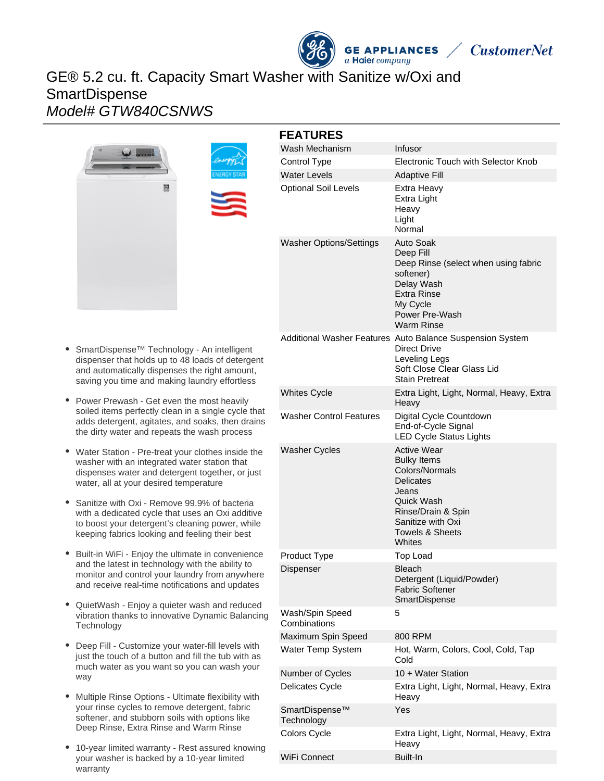# GE® 5.2 cu. ft. Capacity Smart Washer with Sanitize w/Oxi and **SmartDispense** Model# GTW840CSNWS





| <b>FEATURES</b>                 |                                                                                                                                                                                                 |
|---------------------------------|-------------------------------------------------------------------------------------------------------------------------------------------------------------------------------------------------|
| Wash Mechanism                  | Infusor                                                                                                                                                                                         |
| Control Type                    | <b>Electronic Touch with Selector Knob</b>                                                                                                                                                      |
| <b>Water Levels</b>             | <b>Adaptive Fill</b>                                                                                                                                                                            |
| <b>Optional Soil Levels</b>     | Extra Heavy<br>Extra Light<br>Heavy<br>Light<br>Normal                                                                                                                                          |
| <b>Washer Options/Settings</b>  | Auto Soak<br>Deep Fill<br>Deep Rinse (select when using fabric<br>softener)<br>Delay Wash<br><b>Extra Rinse</b><br>My Cycle<br>Power Pre-Wash<br><b>Warm Rinse</b>                              |
|                                 | Additional Washer Features Auto Balance Suspension System<br>Direct Drive<br>Leveling Legs<br>Soft Close Clear Glass Lid<br><b>Stain Pretreat</b>                                               |
| <b>Whites Cycle</b>             | Extra Light, Light, Normal, Heavy, Extra<br>Heavv                                                                                                                                               |
| <b>Washer Control Features</b>  | Digital Cycle Countdown<br>End-of-Cycle Signal<br><b>LED Cycle Status Lights</b>                                                                                                                |
| <b>Washer Cycles</b>            | <b>Active Wear</b><br><b>Bulky Items</b><br>Colors/Normals<br><b>Delicates</b><br>Jeans<br><b>Quick Wash</b><br>Rinse/Drain & Spin<br>Sanitize with Oxi<br><b>Towels &amp; Sheets</b><br>Whites |
| Product Type                    | <b>Top Load</b>                                                                                                                                                                                 |
| Dispenser                       | <b>Bleach</b><br>Detergent (Liquid/Powder)<br><b>Fabric Softener</b><br>SmartDispense                                                                                                           |
| Wash/Spin Speed<br>Combinations | 5                                                                                                                                                                                               |
| Maximum Spin Speed              | 800 RPM                                                                                                                                                                                         |
| Water Temp System               | Hot, Warm, Colors, Cool, Cold, Tap<br>Cold                                                                                                                                                      |
| Number of Cycles                | 10 + Water Station                                                                                                                                                                              |
| Delicates Cycle                 | Extra Light, Light, Normal, Heavy, Extra<br>Heavy                                                                                                                                               |
| SmartDispense™<br>Technology    | Yes                                                                                                                                                                                             |
| Colors Cycle                    | Extra Light, Light, Normal, Heavy, Extra<br>Heavy                                                                                                                                               |

**GE APPLIANCES** 

a Haier company

**CustomerNet** 

WiFi Connect Built-In

- $\bullet$ SmartDispense™ Technology - An intelligent dispenser that holds up to 48 loads of detergent and automatically dispenses the right amount, saving you time and making laundry effortless
- Power Prewash Get even the most heavily soiled items perfectly clean in a single cycle that adds detergent, agitates, and soaks, then drains the dirty water and repeats the wash process
- Water Station Pre-treat your clothes inside the washer with an integrated water station that dispenses water and detergent together, or just water, all at your desired temperature
- Sanitize with Oxi Remove 99.9% of bacteria with a dedicated cycle that uses an Oxi additive to boost your detergent's cleaning power, while keeping fabrics looking and feeling their best
- Built-in WiFi Enjoy the ultimate in convenience and the latest in technology with the ability to monitor and control your laundry from anywhere and receive real-time notifications and updates
- $\bullet$ QuietWash - Enjoy a quieter wash and reduced vibration thanks to innovative Dynamic Balancing **Technology**
- Deep Fill Customize your water-fill levels with just the touch of a button and fill the tub with as much water as you want so you can wash your way
- Multiple Rinse Options Ultimate flexibility with your rinse cycles to remove detergent, fabric softener, and stubborn soils with options like Deep Rinse, Extra Rinse and Warm Rinse
- 10-year limited warranty Rest assured knowing your washer is backed by a 10-year limited warranty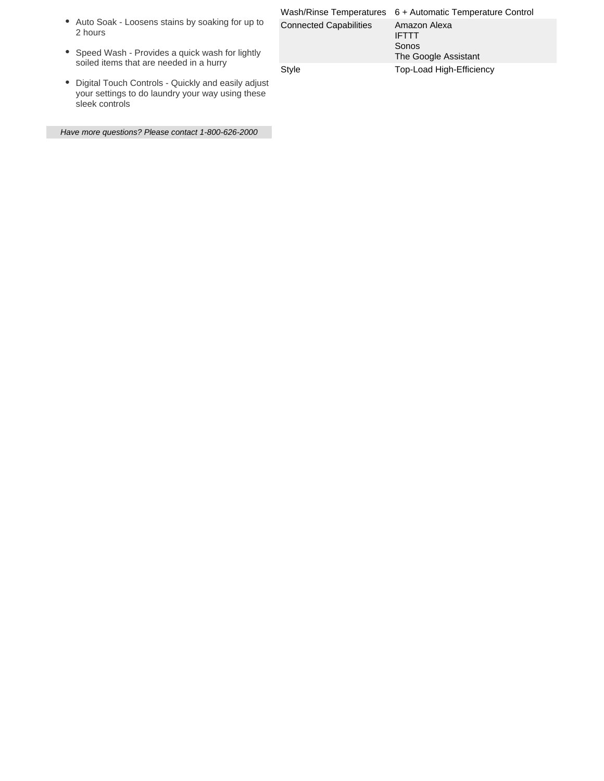- Auto Soak Loosens stains by soaking for up to 2 hours
- Speed Wash Provides a quick wash for lightly soiled items that are needed in a hurry
- Digital Touch Controls Quickly and easily adjust your settings to do laundry your way using these sleek controls

Have more questions? Please contact 1-800-626-2000

|  |                               | Wash/Rinse Temperatures 6 + Automatic Temperature Control     |
|--|-------------------------------|---------------------------------------------------------------|
|  | <b>Connected Capabilities</b> | Amazon Alexa<br><b>IFTTT</b><br>Sonos<br>The Google Assistant |
|  | Style                         | Top-Load High-Efficiency                                      |